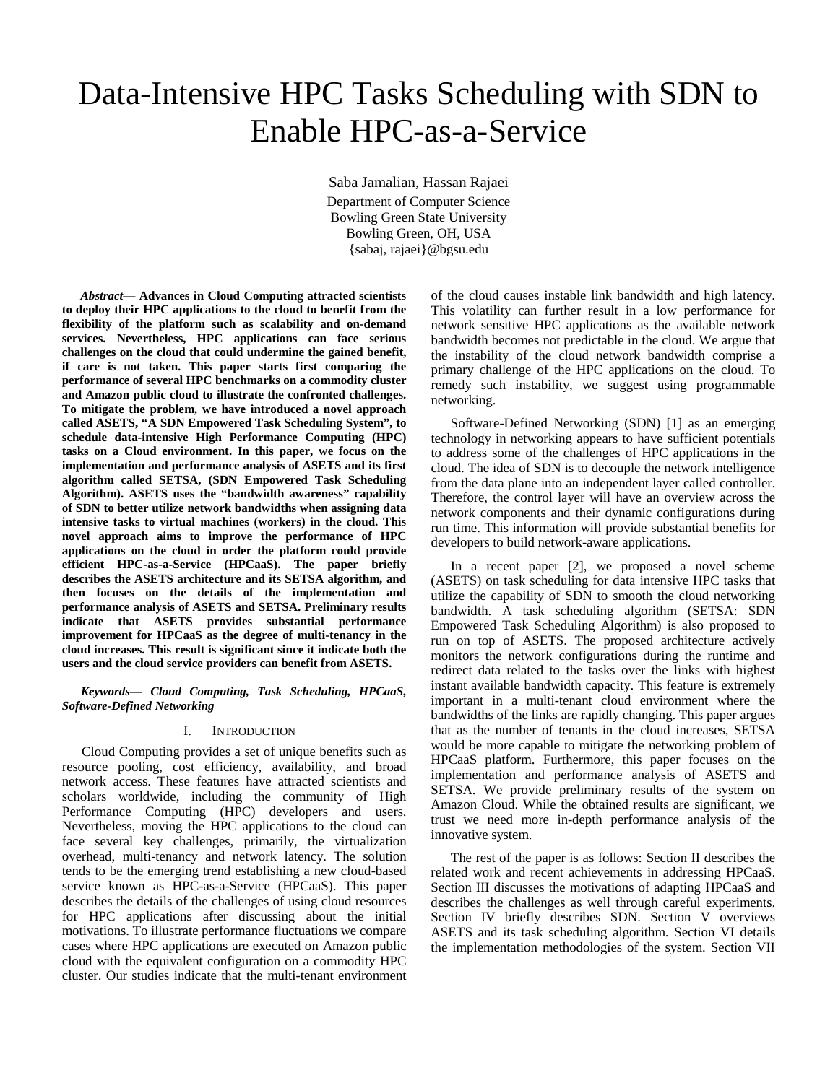# Data-Intensive HPC Tasks Scheduling with SDN to Enable HPC-as-a-Service

Saba Jamalian, Hassan Rajaei Department of Computer Science Bowling Green State University Bowling Green, OH, USA {sabaj, rajaei}@bgsu.edu

*Abstract***— Advances in Cloud Computing attracted scientists to deploy their HPC applications to the cloud to benefit from the flexibility of the platform such as scalability and on-demand services. Nevertheless, HPC applications can face serious challenges on the cloud that could undermine the gained benefit, if care is not taken. This paper starts first comparing the performance of several HPC benchmarks on a commodity cluster and Amazon public cloud to illustrate the confronted challenges. To mitigate the problem, we have introduced a novel approach called ASETS, "A SDN Empowered Task Scheduling System", to schedule data-intensive High Performance Computing (HPC) tasks on a Cloud environment. In this paper, we focus on the implementation and performance analysis of ASETS and its first algorithm called SETSA, (SDN Empowered Task Scheduling Algorithm). ASETS uses the "bandwidth awareness" capability of SDN to better utilize network bandwidths when assigning data intensive tasks to virtual machines (workers) in the cloud. This novel approach aims to improve the performance of HPC applications on the cloud in order the platform could provide efficient HPC-as-a-Service (HPCaaS). The paper briefly describes the ASETS architecture and its SETSA algorithm, and then focuses on the details of the implementation and performance analysis of ASETS and SETSA. Preliminary results indicate that ASETS provides substantial performance improvement for HPCaaS as the degree of multi-tenancy in the cloud increases. This result is significant since it indicate both the users and the cloud service providers can benefit from ASETS.**

*Keywords— Cloud Computing, Task Scheduling, HPCaaS, Software-Defined Networking*

## I. INTRODUCTION

Cloud Computing provides a set of unique benefits such as resource pooling, cost efficiency, availability, and broad network access. These features have attracted scientists and scholars worldwide, including the community of High Performance Computing (HPC) developers and users. Nevertheless, moving the HPC applications to the cloud can face several key challenges, primarily, the virtualization overhead, multi-tenancy and network latency. The solution tends to be the emerging trend establishing a new cloud-based service known as HPC-as-a-Service (HPCaaS). This paper describes the details of the challenges of using cloud resources for HPC applications after discussing about the initial motivations. To illustrate performance fluctuations we compare cases where HPC applications are executed on Amazon public cloud with the equivalent configuration on a commodity HPC cluster. Our studies indicate that the multi-tenant environment of the cloud causes instable link bandwidth and high latency. This volatility can further result in a low performance for network sensitive HPC applications as the available network bandwidth becomes not predictable in the cloud. We argue that the instability of the cloud network bandwidth comprise a primary challenge of the HPC applications on the cloud. To remedy such instability, we suggest using programmable networking.

Software-Defined Networking (SDN) [1] as an emerging technology in networking appears to have sufficient potentials to address some of the challenges of HPC applications in the cloud. The idea of SDN is to decouple the network intelligence from the data plane into an independent layer called controller. Therefore, the control layer will have an overview across the network components and their dynamic configurations during run time. This information will provide substantial benefits for developers to build network-aware applications.

In a recent paper [2], we proposed a novel scheme (ASETS) on task scheduling for data intensive HPC tasks that utilize the capability of SDN to smooth the cloud networking bandwidth. A task scheduling algorithm (SETSA: SDN Empowered Task Scheduling Algorithm) is also proposed to run on top of ASETS. The proposed architecture actively monitors the network configurations during the runtime and redirect data related to the tasks over the links with highest instant available bandwidth capacity. This feature is extremely important in a multi-tenant cloud environment where the bandwidths of the links are rapidly changing. This paper argues that as the number of tenants in the cloud increases, SETSA would be more capable to mitigate the networking problem of HPCaaS platform. Furthermore, this paper focuses on the implementation and performance analysis of ASETS and SETSA. We provide preliminary results of the system on Amazon Cloud. While the obtained results are significant, we trust we need more in-depth performance analysis of the innovative system.

The rest of the paper is as follows: Section II describes the related work and recent achievements in addressing HPCaaS. Section III discusses the motivations of adapting HPCaaS and describes the challenges as well through careful experiments. Section IV briefly describes SDN. Section V overviews ASETS and its task scheduling algorithm. Section VI details the implementation methodologies of the system. Section VII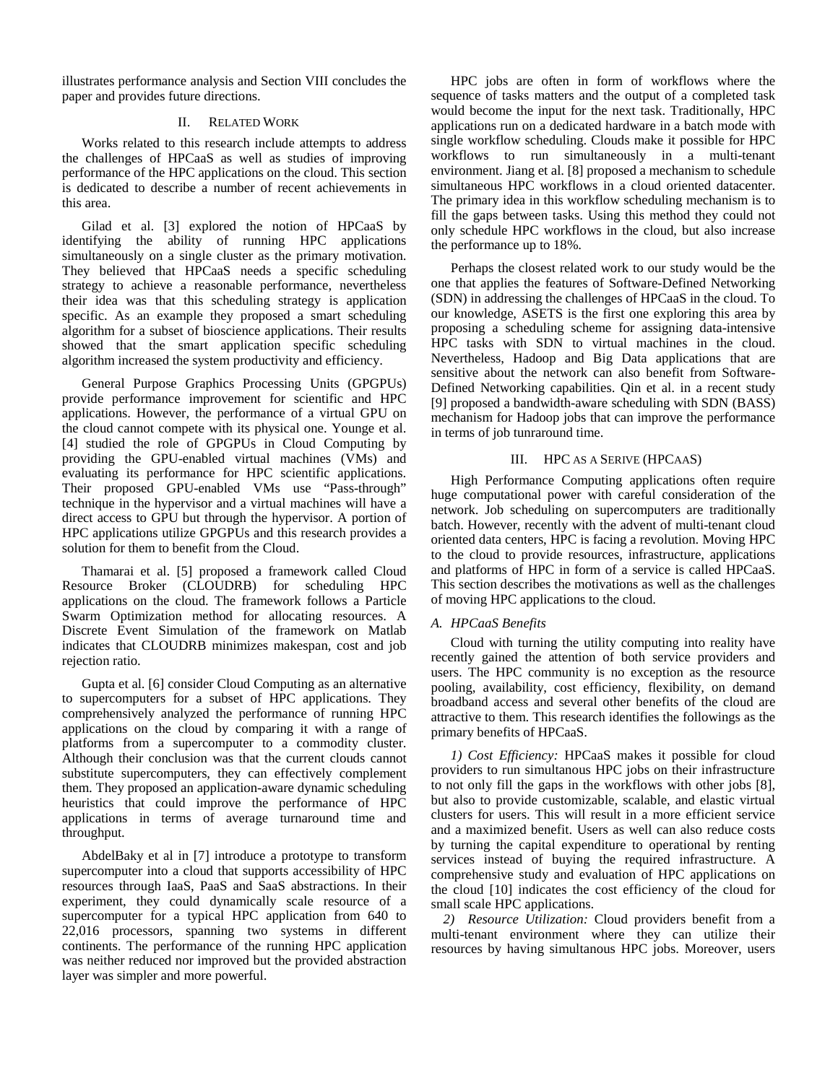illustrates performance analysis and Section VIII concludes the paper and provides future directions.

# II. RELATED WORK

Works related to this research include attempts to address the challenges of HPCaaS as well as studies of improving performance of the HPC applications on the cloud. This section is dedicated to describe a number of recent achievements in this area.

Gilad et al. [3] explored the notion of HPCaaS by identifying the ability of running HPC applications simultaneously on a single cluster as the primary motivation. They believed that HPCaaS needs a specific scheduling strategy to achieve a reasonable performance, nevertheless their idea was that this scheduling strategy is application specific. As an example they proposed a smart scheduling algorithm for a subset of bioscience applications. Their results showed that the smart application specific scheduling algorithm increased the system productivity and efficiency.

General Purpose Graphics Processing Units (GPGPUs) provide performance improvement for scientific and HPC applications. However, the performance of a virtual GPU on the cloud cannot compete with its physical one. Younge et al. [4] studied the role of GPGPUs in Cloud Computing by providing the GPU-enabled virtual machines (VMs) and evaluating its performance for HPC scientific applications. Their proposed GPU-enabled VMs use "Pass-through" technique in the hypervisor and a virtual machines will have a direct access to GPU but through the hypervisor. A portion of HPC applications utilize GPGPUs and this research provides a solution for them to benefit from the Cloud.

Thamarai et al. [5] proposed a framework called Cloud Resource Broker (CLOUDRB) for scheduling HPC applications on the cloud. The framework follows a Particle Swarm Optimization method for allocating resources. A Discrete Event Simulation of the framework on Matlab indicates that CLOUDRB minimizes makespan, cost and job rejection ratio.

Gupta et al. [6] consider Cloud Computing as an alternative to supercomputers for a subset of HPC applications. They comprehensively analyzed the performance of running HPC applications on the cloud by comparing it with a range of platforms from a supercomputer to a commodity cluster. Although their conclusion was that the current clouds cannot substitute supercomputers, they can effectively complement them. They proposed an application-aware dynamic scheduling heuristics that could improve the performance of HPC applications in terms of average turnaround time and throughput.

AbdelBaky et al in [7] introduce a prototype to transform supercomputer into a cloud that supports accessibility of HPC resources through IaaS, PaaS and SaaS abstractions. In their experiment, they could dynamically scale resource of a supercomputer for a typical HPC application from 640 to 22,016 processors, spanning two systems in different continents. The performance of the running HPC application was neither reduced nor improved but the provided abstraction layer was simpler and more powerful.

HPC jobs are often in form of workflows where the sequence of tasks matters and the output of a completed task would become the input for the next task. Traditionally, HPC applications run on a dedicated hardware in a batch mode with single workflow scheduling. Clouds make it possible for HPC workflows to run simultaneously in a multi-tenant environment. Jiang et al. [8] proposed a mechanism to schedule simultaneous HPC workflows in a cloud oriented datacenter. The primary idea in this workflow scheduling mechanism is to fill the gaps between tasks. Using this method they could not only schedule HPC workflows in the cloud, but also increase the performance up to 18%.

Perhaps the closest related work to our study would be the one that applies the features of Software-Defined Networking (SDN) in addressing the challenges of HPCaaS in the cloud. To our knowledge, ASETS is the first one exploring this area by proposing a scheduling scheme for assigning data-intensive HPC tasks with SDN to virtual machines in the cloud. Nevertheless, Hadoop and Big Data applications that are sensitive about the network can also benefit from Software-Defined Networking capabilities. Qin et al. in a recent study [9] proposed a bandwidth-aware scheduling with SDN (BASS) mechanism for Hadoop jobs that can improve the performance in terms of job tunraround time.

# III. HPC AS A SERIVE (HPCAAS)

High Performance Computing applications often require huge computational power with careful consideration of the network. Job scheduling on supercomputers are traditionally batch. However, recently with the advent of multi-tenant cloud oriented data centers, HPC is facing a revolution. Moving HPC to the cloud to provide resources, infrastructure, applications and platforms of HPC in form of a service is called HPCaaS. This section describes the motivations as well as the challenges of moving HPC applications to the cloud.

# *A. HPCaaS Benefits*

Cloud with turning the utility computing into reality have recently gained the attention of both service providers and users. The HPC community is no exception as the resource pooling, availability, cost efficiency, flexibility, on demand broadband access and several other benefits of the cloud are attractive to them. This research identifies the followings as the primary benefits of HPCaaS.

*1) Cost Efficiency:* HPCaaS makes it possible for cloud providers to run simultanous HPC jobs on their infrastructure to not only fill the gaps in the workflows with other jobs [8], but also to provide customizable, scalable, and elastic virtual clusters for users. This will result in a more efficient service and a maximized benefit. Users as well can also reduce costs by turning the capital expenditure to operational by renting services instead of buying the required infrastructure. A comprehensive study and evaluation of HPC applications on the cloud [10] indicates the cost efficiency of the cloud for small scale HPC applications.

*2) Resource Utilization:* Cloud providers benefit from a multi-tenant environment where they can utilize their resources by having simultanous HPC jobs. Moreover, users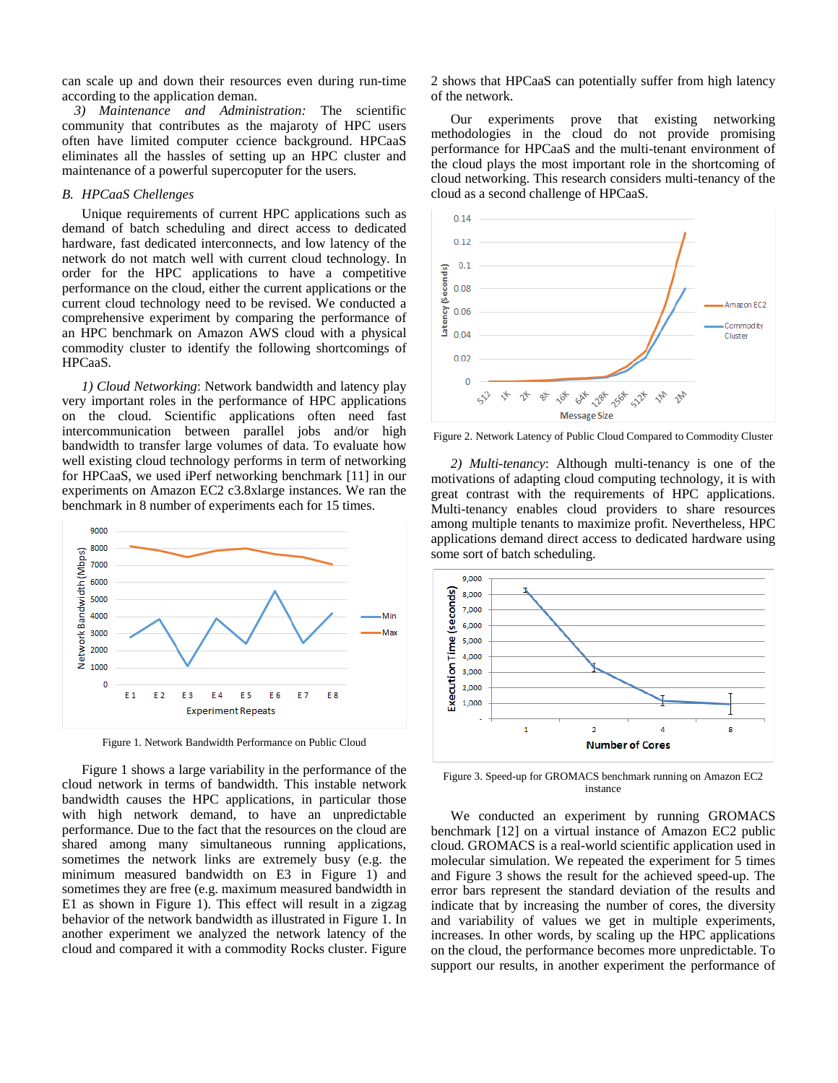can scale up and down their resources even during run-time according to the application deman.

*3) Maintenance and Administration:* The scientific community that contributes as the majaroty of HPC users often have limited computer ccience background. HPCaaS eliminates all the hassles of setting up an HPC cluster and maintenance of a powerful supercoputer for the users*.*

## *B. HPCaaS Chellenges*

Unique requirements of current HPC applications such as demand of batch scheduling and direct access to dedicated hardware, fast dedicated interconnects, and low latency of the network do not match well with current cloud technology. In order for the HPC applications to have a competitive performance on the cloud, either the current applications or the current cloud technology need to be revised. We conducted a comprehensive experiment by comparing the performance of an HPC benchmark on Amazon AWS cloud with a physical commodity cluster to identify the following shortcomings of HPCaaS.

*1) Cloud Networking*: Network bandwidth and latency play very important roles in the performance of HPC applications on the cloud. Scientific applications often need fast intercommunication between parallel jobs and/or high bandwidth to transfer large volumes of data. To evaluate how well existing cloud technology performs in term of networking for HPCaaS, we used iPerf networking benchmark [11] in our experiments on Amazon EC2 c3.8xlarge instances. We ran the benchmark in 8 number of experiments each for 15 times.



Figure 1. Network Bandwidth Performance on Public Cloud

Figure 1 shows a large variability in the performance of the cloud network in terms of bandwidth. This instable network bandwidth causes the HPC applications, in particular those with high network demand, to have an unpredictable performance. Due to the fact that the resources on the cloud are shared among many simultaneous running applications, sometimes the network links are extremely busy (e.g. the minimum measured bandwidth on E3 in Figure 1) and sometimes they are free (e.g. maximum measured bandwidth in E1 as shown in Figure 1). This effect will result in a zigzag behavior of the network bandwidth as illustrated in Figure 1. In another experiment we analyzed the network latency of the cloud and compared it with a commodity Rocks cluster. Figure 2 shows that HPCaaS can potentially suffer from high latency of the network.

Our experiments prove that existing networking methodologies in the cloud do not provide promising performance for HPCaaS and the multi-tenant environment of the cloud plays the most important role in the shortcoming of cloud networking. This research considers multi-tenancy of the cloud as a second challenge of HPCaaS.



Figure 2. Network Latency of Public Cloud Compared to Commodity Cluster

*2) Multi-tenancy*: Although multi-tenancy is one of the motivations of adapting cloud computing technology, it is with great contrast with the requirements of HPC applications. Multi-tenancy enables cloud providers to share resources among multiple tenants to maximize profit. Nevertheless, HPC applications demand direct access to dedicated hardware using some sort of batch scheduling.



Figure 3. Speed-up for GROMACS benchmark running on Amazon EC2 instance

We conducted an experiment by running GROMACS benchmark [12] on a virtual instance of Amazon EC2 public cloud. GROMACS is a real-world scientific application used in molecular simulation. We repeated the experiment for 5 times and Figure 3 shows the result for the achieved speed-up. The error bars represent the standard deviation of the results and indicate that by increasing the number of cores, the diversity and variability of values we get in multiple experiments, increases. In other words, by scaling up the HPC applications on the cloud, the performance becomes more unpredictable. To support our results, in another experiment the performance of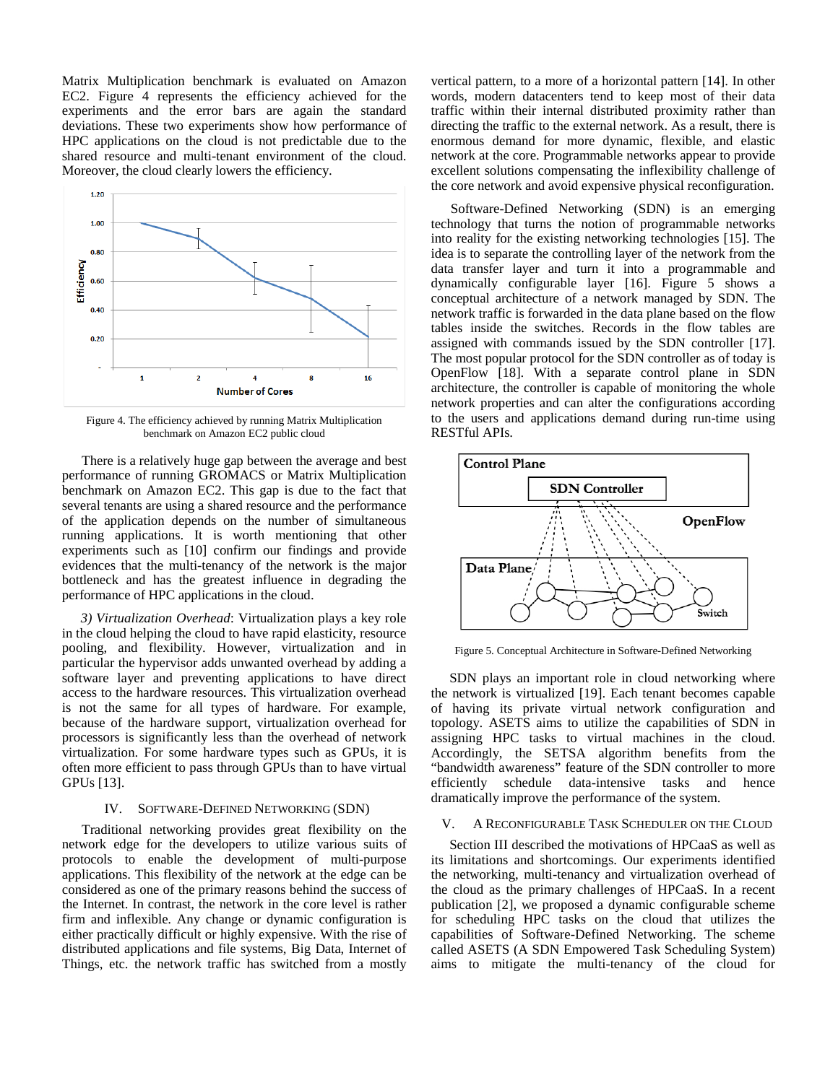Matrix Multiplication benchmark is evaluated on Amazon EC2. Figure 4 represents the efficiency achieved for the experiments and the error bars are again the standard deviations. These two experiments show how performance of HPC applications on the cloud is not predictable due to the shared resource and multi-tenant environment of the cloud. Moreover, the cloud clearly lowers the efficiency.



Figure 4. The efficiency achieved by running Matrix Multiplication benchmark on Amazon EC2 public cloud

There is a relatively huge gap between the average and best performance of running GROMACS or Matrix Multiplication benchmark on Amazon EC2. This gap is due to the fact that several tenants are using a shared resource and the performance of the application depends on the number of simultaneous running applications. It is worth mentioning that other experiments such as [10] confirm our findings and provide evidences that the multi-tenancy of the network is the major bottleneck and has the greatest influence in degrading the performance of HPC applications in the cloud.

*3) Virtualization Overhead*: Virtualization plays a key role in the cloud helping the cloud to have rapid elasticity, resource pooling, and flexibility. However, virtualization and in particular the hypervisor adds unwanted overhead by adding a software layer and preventing applications to have direct access to the hardware resources. This virtualization overhead is not the same for all types of hardware. For example, because of the hardware support, virtualization overhead for processors is significantly less than the overhead of network virtualization. For some hardware types such as GPUs, it is often more efficient to pass through GPUs than to have virtual GPUs [13].

## IV. SOFTWARE-DEFINED NETWORKING (SDN)

Traditional networking provides great flexibility on the network edge for the developers to utilize various suits of protocols to enable the development of multi-purpose applications. This flexibility of the network at the edge can be considered as one of the primary reasons behind the success of the Internet. In contrast, the network in the core level is rather firm and inflexible. Any change or dynamic configuration is either practically difficult or highly expensive. With the rise of distributed applications and file systems, Big Data, Internet of Things, etc. the network traffic has switched from a mostly

vertical pattern, to a more of a horizontal pattern [14]. In other words, modern datacenters tend to keep most of their data traffic within their internal distributed proximity rather than directing the traffic to the external network. As a result, there is enormous demand for more dynamic, flexible, and elastic network at the core. Programmable networks appear to provide excellent solutions compensating the inflexibility challenge of the core network and avoid expensive physical reconfiguration.

Software-Defined Networking (SDN) is an emerging technology that turns the notion of programmable networks into reality for the existing networking technologies [15]. The idea is to separate the controlling layer of the network from the data transfer layer and turn it into a programmable and dynamically configurable layer [16]. Figure 5 shows a conceptual architecture of a network managed by SDN. The network traffic is forwarded in the data plane based on the flow tables inside the switches. Records in the flow tables are assigned with commands issued by the SDN controller [17]. The most popular protocol for the SDN controller as of today is OpenFlow [18]. With a separate control plane in SDN architecture, the controller is capable of monitoring the whole network properties and can alter the configurations according to the users and applications demand during run-time using RESTful APIs.



Figure 5. Conceptual Architecture in Software-Defined Networking

SDN plays an important role in cloud networking where the network is virtualized [19]. Each tenant becomes capable of having its private virtual network configuration and topology. ASETS aims to utilize the capabilities of SDN in assigning HPC tasks to virtual machines in the cloud. Accordingly, the SETSA algorithm benefits from the "bandwidth awareness" feature of the SDN controller to more<br>efficiently schedule data-intensive tasks and hence schedule data-intensive tasks and hence dramatically improve the performance of the system.

## V. A RECONFIGURABLE TASK SCHEDULER ON THE CLOUD

Section III described the motivations of HPCaaS as well as its limitations and shortcomings. Our experiments identified the networking, multi-tenancy and virtualization overhead of the cloud as the primary challenges of HPCaaS. In a recent publication [2], we proposed a dynamic configurable scheme for scheduling HPC tasks on the cloud that utilizes the capabilities of Software-Defined Networking. The scheme called ASETS (A SDN Empowered Task Scheduling System) aims to mitigate the multi-tenancy of the cloud for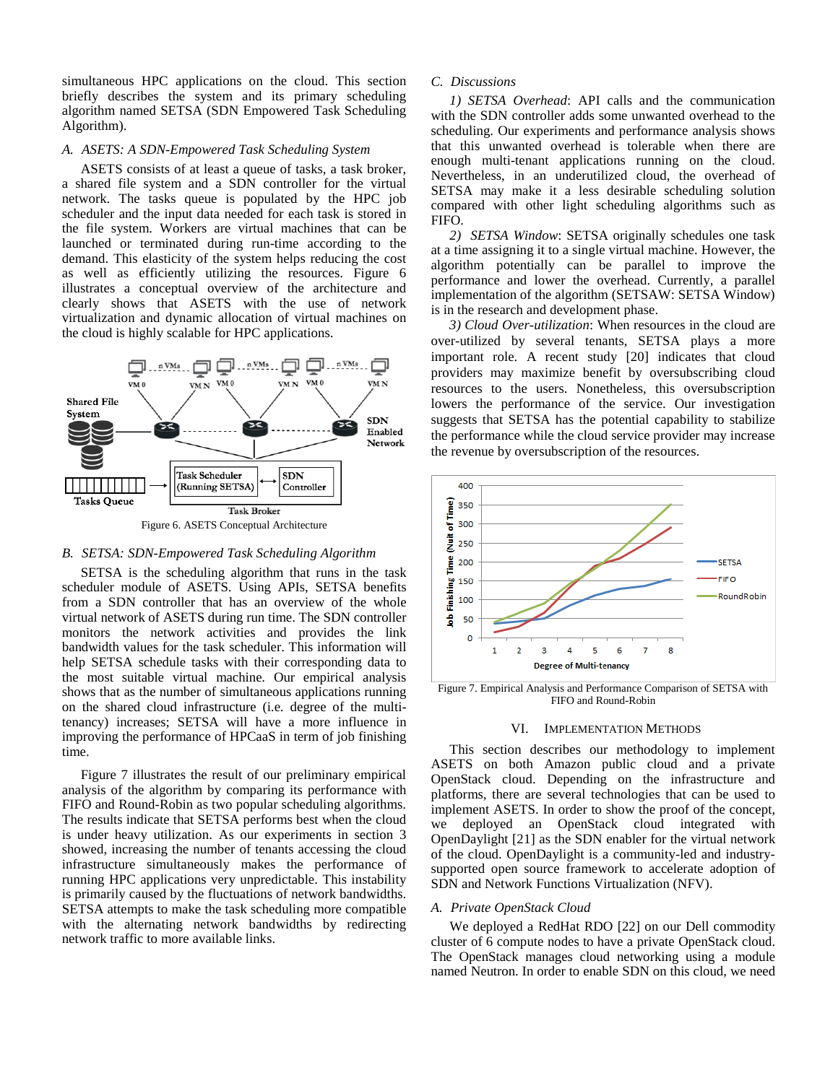simultaneous HPC applications on the cloud. This section briefly describes the system and its primary scheduling algorithm named SETSA (SDN Empowered Task Scheduling Algorithm).

## *A. ASETS: A SDN-Empowered Task Scheduling System*

ASETS consists of at least a queue of tasks, a task broker, a shared file system and a SDN controller for the virtual network. The tasks queue is populated by the HPC job scheduler and the input data needed for each task is stored in the file system. Workers are virtual machines that can be launched or terminated during run-time according to the demand. This elasticity of the system helps reducing the cost as well as efficiently utilizing the resources. Figure 6 illustrates a conceptual overview of the architecture and clearly shows that ASETS with the use of network virtualization and dynamic allocation of virtual machines on the cloud is highly scalable for HPC applications.



Figure 6. ASETS Conceptual Architecture

## *B. SETSA: SDN-Empowered Task Scheduling Algorithm*

SETSA is the scheduling algorithm that runs in the task scheduler module of ASETS. Using APIs, SETSA benefits from a SDN controller that has an overview of the whole virtual network of ASETS during run time. The SDN controller monitors the network activities and provides the link bandwidth values for the task scheduler. This information will help SETSA schedule tasks with their corresponding data to the most suitable virtual machine. Our empirical analysis shows that as the number of simultaneous applications running on the shared cloud infrastructure (i.e. degree of the multitenancy) increases; SETSA will have a more influence in improving the performance of HPCaaS in term of job finishing time.

Figure 7 illustrates the result of our preliminary empirical analysis of the algorithm by comparing its performance with FIFO and Round-Robin as two popular scheduling algorithms. The results indicate that SETSA performs best when the cloud is under heavy utilization. As our experiments in section 3 showed, increasing the number of tenants accessing the cloud infrastructure simultaneously makes the performance of running HPC applications very unpredictable. This instability is primarily caused by the fluctuations of network bandwidths. SETSA attempts to make the task scheduling more compatible with the alternating network bandwidths by redirecting network traffic to more available links.

## *C. Discussions*

*1) SETSA Overhead*: API calls and the communication with the SDN controller adds some unwanted overhead to the scheduling. Our experiments and performance analysis shows that this unwanted overhead is tolerable when there are enough multi-tenant applications running on the cloud. Nevertheless, in an underutilized cloud, the overhead of SETSA may make it a less desirable scheduling solution compared with other light scheduling algorithms such as FIFO.

*2) SETSA Window*: SETSA originally schedules one task at a time assigning it to a single virtual machine. However, the algorithm potentially can be parallel to improve the performance and lower the overhead. Currently, a parallel implementation of the algorithm (SETSAW: SETSA Window) is in the research and development phase.

*3) Cloud Over-utilization*: When resources in the cloud are over-utilized by several tenants, SETSA plays a more important role. A recent study [20] indicates that cloud providers may maximize benefit by oversubscribing cloud resources to the users. Nonetheless, this oversubscription lowers the performance of the service. Our investigation suggests that SETSA has the potential capability to stabilize the performance while the cloud service provider may increase the revenue by oversubscription of the resources.



Figure 7. Empirical Analysis and Performance Comparison of SETSA with FIFO and Round-Robin

#### VI. IMPLEMENTATION METHODS

This section describes our methodology to implement ASETS on both Amazon public cloud and a private OpenStack cloud. Depending on the infrastructure and platforms, there are several technologies that can be used to implement ASETS. In order to show the proof of the concept, we deployed an OpenStack cloud integrated with OpenDaylight [21] as the SDN enabler for the virtual network of the cloud. OpenDaylight is a community-led and industrysupported open source framework to accelerate adoption of SDN and Network Functions Virtualization (NFV).

## *A. Private OpenStack Cloud*

We deployed a RedHat RDO [22] on our Dell commodity cluster of 6 compute nodes to have a private OpenStack cloud. The OpenStack manages cloud networking using a module named Neutron. In order to enable SDN on this cloud, we need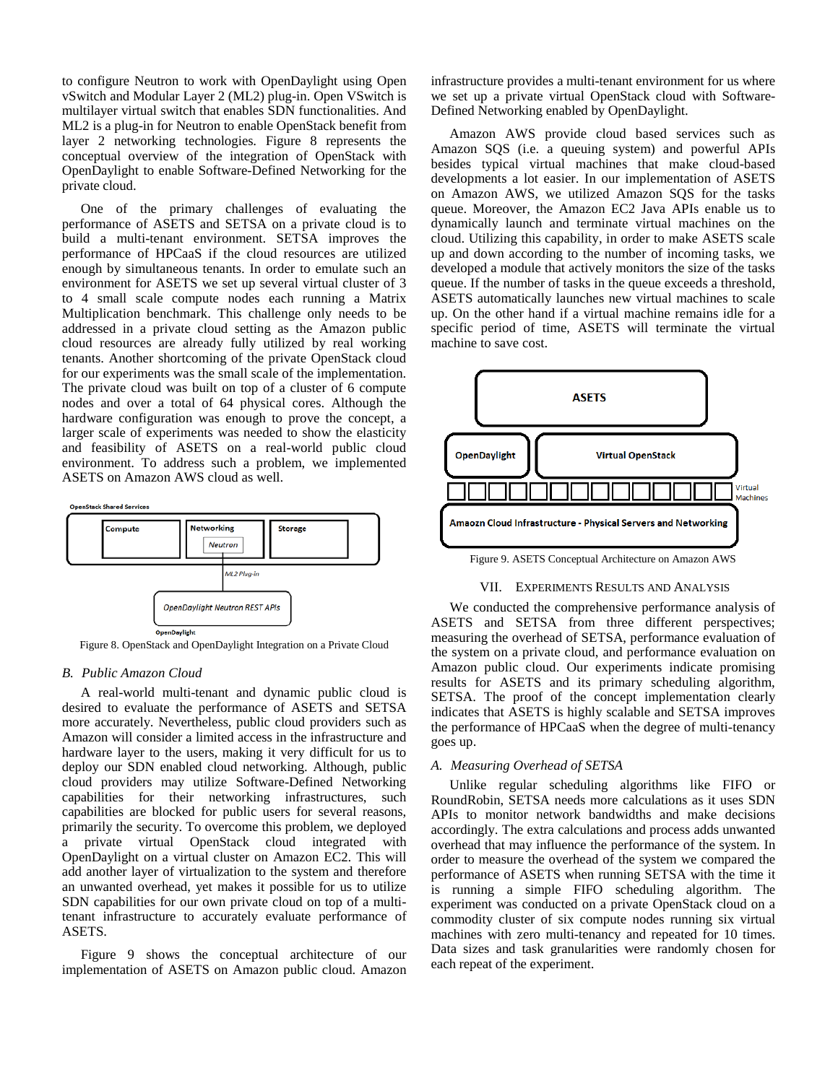to configure Neutron to work with OpenDaylight using Open vSwitch and Modular Layer 2 (ML2) plug-in. Open VSwitch is multilayer virtual switch that enables SDN functionalities. And ML2 is a plug-in for Neutron to enable OpenStack benefit from layer 2 networking technologies. Figure 8 represents the conceptual overview of the integration of OpenStack with OpenDaylight to enable Software-Defined Networking for the private cloud.

One of the primary challenges of evaluating the performance of ASETS and SETSA on a private cloud is to build a multi-tenant environment. SETSA improves the performance of HPCaaS if the cloud resources are utilized enough by simultaneous tenants. In order to emulate such an environment for ASETS we set up several virtual cluster of 3 to 4 small scale compute nodes each running a Matrix Multiplication benchmark. This challenge only needs to be addressed in a private cloud setting as the Amazon public cloud resources are already fully utilized by real working tenants. Another shortcoming of the private OpenStack cloud for our experiments was the small scale of the implementation. The private cloud was built on top of a cluster of 6 compute nodes and over a total of 64 physical cores. Although the hardware configuration was enough to prove the concept, a larger scale of experiments was needed to show the elasticity and feasibility of ASETS on a real-world public cloud environment. To address such a problem, we implemented ASETS on Amazon AWS cloud as well.



Figure 8. OpenStack and OpenDaylight Integration on a Private Cloud

#### *B. Public Amazon Cloud*

A real-world multi-tenant and dynamic public cloud is desired to evaluate the performance of ASETS and SETSA more accurately. Nevertheless, public cloud providers such as Amazon will consider a limited access in the infrastructure and hardware layer to the users, making it very difficult for us to deploy our SDN enabled cloud networking. Although, public cloud providers may utilize Software-Defined Networking capabilities for their networking infrastructures, such capabilities are blocked for public users for several reasons, primarily the security. To overcome this problem, we deployed a private virtual OpenStack cloud integrated with OpenDaylight on a virtual cluster on Amazon EC2. This will add another layer of virtualization to the system and therefore an unwanted overhead, yet makes it possible for us to utilize SDN capabilities for our own private cloud on top of a multitenant infrastructure to accurately evaluate performance of ASETS.

Figure 9 shows the conceptual architecture of our implementation of ASETS on Amazon public cloud. Amazon

infrastructure provides a multi-tenant environment for us where we set up a private virtual OpenStack cloud with Software-Defined Networking enabled by OpenDaylight.

Amazon AWS provide cloud based services such as Amazon SQS (i.e. a queuing system) and powerful APIs besides typical virtual machines that make cloud-based developments a lot easier. In our implementation of ASETS on Amazon AWS, we utilized Amazon SQS for the tasks queue. Moreover, the Amazon EC2 Java APIs enable us to dynamically launch and terminate virtual machines on the cloud. Utilizing this capability, in order to make ASETS scale up and down according to the number of incoming tasks, we developed a module that actively monitors the size of the tasks queue. If the number of tasks in the queue exceeds a threshold, ASETS automatically launches new virtual machines to scale up. On the other hand if a virtual machine remains idle for a specific period of time, ASETS will terminate the virtual machine to save cost.



#### VII. EXPERIMENTS RESULTS AND ANALYSIS

We conducted the comprehensive performance analysis of ASETS and SETSA from three different perspectives; measuring the overhead of SETSA, performance evaluation of the system on a private cloud, and performance evaluation on Amazon public cloud. Our experiments indicate promising results for ASETS and its primary scheduling algorithm, SETSA. The proof of the concept implementation clearly indicates that ASETS is highly scalable and SETSA improves the performance of HPCaaS when the degree of multi-tenancy goes up.

## *A. Measuring Overhead of SETSA*

Unlike regular scheduling algorithms like FIFO or RoundRobin, SETSA needs more calculations as it uses SDN APIs to monitor network bandwidths and make decisions accordingly. The extra calculations and process adds unwanted overhead that may influence the performance of the system. In order to measure the overhead of the system we compared the performance of ASETS when running SETSA with the time it is running a simple FIFO scheduling algorithm. The experiment was conducted on a private OpenStack cloud on a commodity cluster of six compute nodes running six virtual machines with zero multi-tenancy and repeated for 10 times. Data sizes and task granularities were randomly chosen for each repeat of the experiment.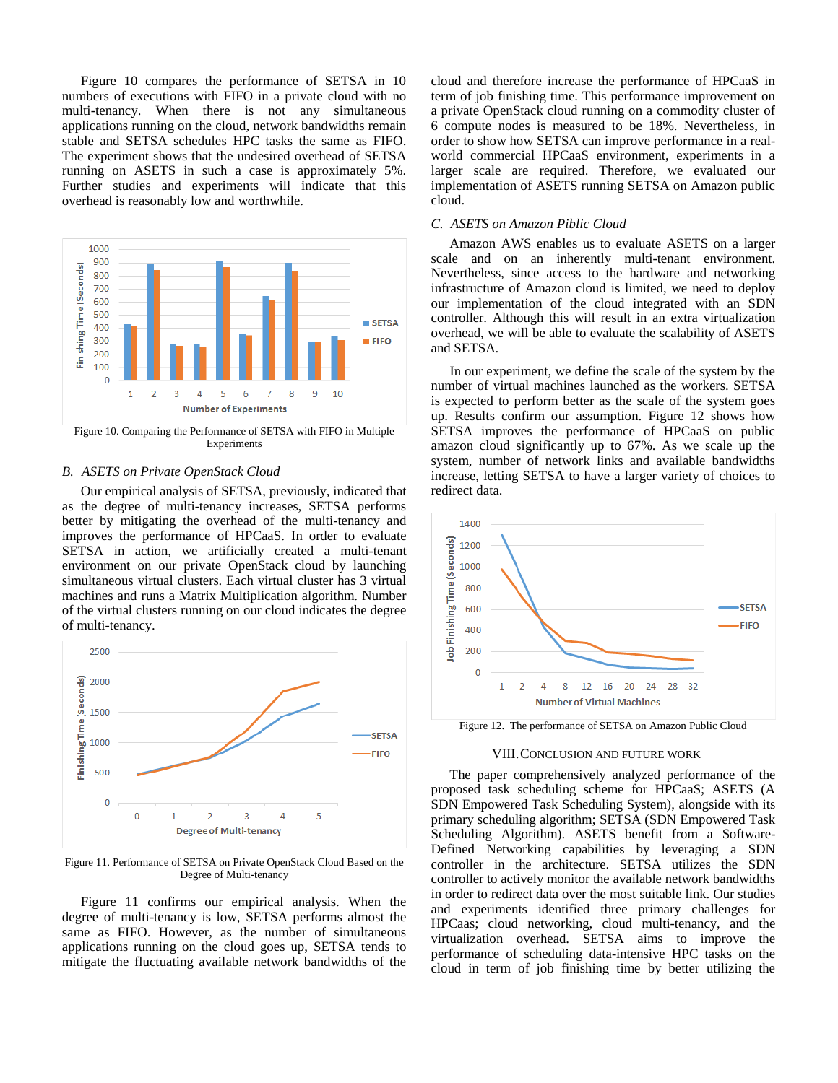Figure 10 compares the performance of SETSA in 10 numbers of executions with FIFO in a private cloud with no multi-tenancy. When there is not any simultaneous applications running on the cloud, network bandwidths remain stable and SETSA schedules HPC tasks the same as FIFO. The experiment shows that the undesired overhead of SETSA running on ASETS in such a case is approximately 5%. Further studies and experiments will indicate that this overhead is reasonably low and worthwhile.



Figure 10. Comparing the Performance of SETSA with FIFO in Multiple Experiments

# *B. ASETS on Private OpenStack Cloud*

Our empirical analysis of SETSA, previously, indicated that as the degree of multi-tenancy increases, SETSA performs better by mitigating the overhead of the multi-tenancy and improves the performance of HPCaaS. In order to evaluate SETSA in action, we artificially created a multi-tenant environment on our private OpenStack cloud by launching simultaneous virtual clusters. Each virtual cluster has 3 virtual machines and runs a Matrix Multiplication algorithm. Number of the virtual clusters running on our cloud indicates the degree of multi-tenancy.



Figure 11. Performance of SETSA on Private OpenStack Cloud Based on the Degree of Multi-tenancy

Figure 11 confirms our empirical analysis. When the degree of multi-tenancy is low, SETSA performs almost the same as FIFO. However, as the number of simultaneous applications running on the cloud goes up, SETSA tends to mitigate the fluctuating available network bandwidths of the cloud and therefore increase the performance of HPCaaS in term of job finishing time. This performance improvement on a private OpenStack cloud running on a commodity cluster of 6 compute nodes is measured to be 18%. Nevertheless, in order to show how SETSA can improve performance in a realworld commercial HPCaaS environment, experiments in a larger scale are required. Therefore, we evaluated our implementation of ASETS running SETSA on Amazon public cloud.

# *C. ASETS on Amazon Piblic Cloud*

Amazon AWS enables us to evaluate ASETS on a larger scale and on an inherently multi-tenant environment. Nevertheless, since access to the hardware and networking infrastructure of Amazon cloud is limited, we need to deploy our implementation of the cloud integrated with an SDN controller. Although this will result in an extra virtualization overhead, we will be able to evaluate the scalability of ASETS and SETSA.

In our experiment, we define the scale of the system by the number of virtual machines launched as the workers. SETSA is expected to perform better as the scale of the system goes up. Results confirm our assumption. Figure 12 shows how SETSA improves the performance of HPCaaS on public amazon cloud significantly up to 67%. As we scale up the system, number of network links and available bandwidths increase, letting SETSA to have a larger variety of choices to redirect data.



Figure 12. The performance of SETSA on Amazon Public Cloud

## VIII.CONCLUSION AND FUTURE WORK

The paper comprehensively analyzed performance of the proposed task scheduling scheme for HPCaaS; ASETS (A SDN Empowered Task Scheduling System), alongside with its primary scheduling algorithm; SETSA (SDN Empowered Task Scheduling Algorithm). ASETS benefit from a Software-Defined Networking capabilities by leveraging a SDN controller in the architecture. SETSA utilizes the SDN controller to actively monitor the available network bandwidths in order to redirect data over the most suitable link. Our studies and experiments identified three primary challenges for HPCaas; cloud networking, cloud multi-tenancy, and the virtualization overhead. SETSA aims to improve the performance of scheduling data-intensive HPC tasks on the cloud in term of job finishing time by better utilizing the